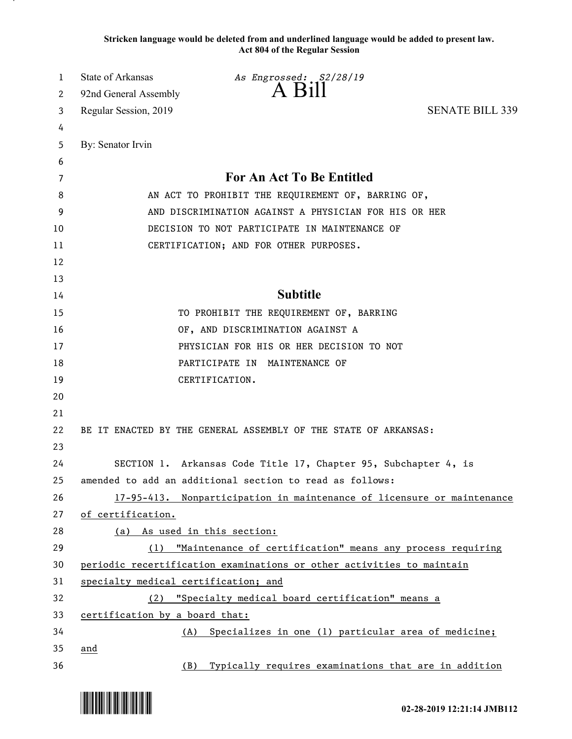**Stricken language would be deleted from and underlined language would be added to present law. Act 804 of the Regular Session**

| 1  | State of Arkansas                                   | As Engrossed: S2/28/19                                                 |                        |
|----|-----------------------------------------------------|------------------------------------------------------------------------|------------------------|
| 2  | 92nd General Assembly                               | $A$ B <sub>1</sub> $\text{H}$                                          |                        |
| 3  | Regular Session, 2019                               |                                                                        | <b>SENATE BILL 339</b> |
| 4  |                                                     |                                                                        |                        |
| 5  | By: Senator Irvin                                   |                                                                        |                        |
| 6  |                                                     |                                                                        |                        |
| 7  |                                                     | For An Act To Be Entitled                                              |                        |
| 8  |                                                     | AN ACT TO PROHIBIT THE REQUIREMENT OF, BARRING OF,                     |                        |
| 9  |                                                     | AND DISCRIMINATION AGAINST A PHYSICIAN FOR HIS OR HER                  |                        |
| 10 |                                                     | DECISION TO NOT PARTICIPATE IN MAINTENANCE OF                          |                        |
| 11 |                                                     | CERTIFICATION; AND FOR OTHER PURPOSES.                                 |                        |
| 12 |                                                     |                                                                        |                        |
| 13 |                                                     |                                                                        |                        |
| 14 |                                                     | <b>Subtitle</b>                                                        |                        |
| 15 |                                                     | TO PROHIBIT THE REQUIREMENT OF, BARRING                                |                        |
| 16 |                                                     | OF, AND DISCRIMINATION AGAINST A                                       |                        |
| 17 |                                                     | PHYSICIAN FOR HIS OR HER DECISION TO NOT                               |                        |
| 18 |                                                     | PARTICIPATE IN MAINTENANCE OF                                          |                        |
| 19 |                                                     | CERTIFICATION.                                                         |                        |
| 20 |                                                     |                                                                        |                        |
| 21 |                                                     |                                                                        |                        |
| 22 |                                                     | BE IT ENACTED BY THE GENERAL ASSEMBLY OF THE STATE OF ARKANSAS:        |                        |
| 23 |                                                     |                                                                        |                        |
| 24 |                                                     | SECTION 1. Arkansas Code Title 17, Chapter 95, Subchapter 4, is        |                        |
| 25 |                                                     | amended to add an additional section to read as follows:               |                        |
| 26 |                                                     | 17-95-413. Nonparticipation in maintenance of licensure or maintenance |                        |
| 27 | of certification.                                   |                                                                        |                        |
| 28 | (a) As used in this section:                        |                                                                        |                        |
| 29 | (1)                                                 | "Maintenance of certification" means any process requiring             |                        |
| 30 |                                                     | periodic recertification examinations or other activities to maintain  |                        |
| 31 | specialty medical certification; and                |                                                                        |                        |
| 32 | (2) "Specialty medical board certification" means a |                                                                        |                        |
| 33 | certification by a board that:                      |                                                                        |                        |
| 34 | (A)                                                 | Specializes in one (1) particular area of medicine;                    |                        |
| 35 | and                                                 |                                                                        |                        |
| 36 | (B)                                                 | Typically requires examinations that are in addition                   |                        |

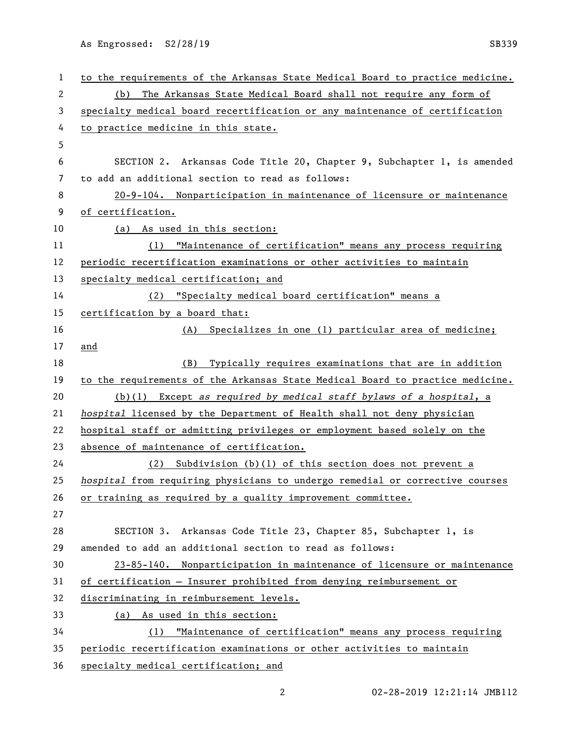As Engrossed: S2/28/19 SB339

| $\mathbf{1}$ | to the requirements of the Arkansas State Medical Board to practice medicine. |
|--------------|-------------------------------------------------------------------------------|
| 2            | (b) The Arkansas State Medical Board shall not require any form of            |
| 3            | specialty medical board recertification or any maintenance of certification   |
| 4            | to practice medicine in this state.                                           |
| 5            |                                                                               |
| 6            | SECTION 2. Arkansas Code Title 20, Chapter 9, Subchapter 1, is amended        |
| 7            | to add an additional section to read as follows:                              |
| 8            | 20-9-104. Nonparticipation in maintenance of licensure or maintenance         |
| 9            | of certification.                                                             |
| 10           | (a) As used in this section:                                                  |
| 11           | "Maintenance of certification" means any process requiring<br>(1)             |
| 12           | periodic recertification examinations or other activities to maintain         |
| 13           | specialty medical certification; and                                          |
| 14           | (2) "Specialty medical board certification" means a                           |
| 15           | certification by a board that:                                                |
| 16           | (A) Specializes in one (1) particular area of medicine;                       |
| 17           | and                                                                           |
| 18           | (B) Typically requires examinations that are in addition                      |
| 19           | to the requirements of the Arkansas State Medical Board to practice medicine. |
| 20           | $(b)(1)$ Except as required by medical staff bylaws of a hospital, a          |
| 21           | hospital licensed by the Department of Health shall not deny physician        |
| 22           | hospital staff or admitting privileges or employment based solely on the      |
| 23           | absence of maintenance of certification.                                      |
| 24           | (2) Subdivision (b)(1) of this section does not prevent a                     |
| 25           | hospital from requiring physicians to undergo remedial or corrective courses  |
| 26           | or training as required by a quality improvement committee.                   |
| 27           |                                                                               |
| 28           | SECTION 3. Arkansas Code Title 23, Chapter 85, Subchapter 1, is               |
| 29           | amended to add an additional section to read as follows:                      |
| 30           | 23-85-140. Nonparticipation in maintenance of licensure or maintenance        |
| 31           | of certification - Insurer prohibited from denying reimbursement or           |
| 32           | discriminating in reimbursement levels.                                       |
| 33           | (a) As used in this section:                                                  |
| 34           | "Maintenance of certification" means any process requiring<br>(1)             |
| 35           | periodic recertification examinations or other activities to maintain         |
| 36           | specialty medical certification; and                                          |

2 02-28-2019 12:21:14 JMB112